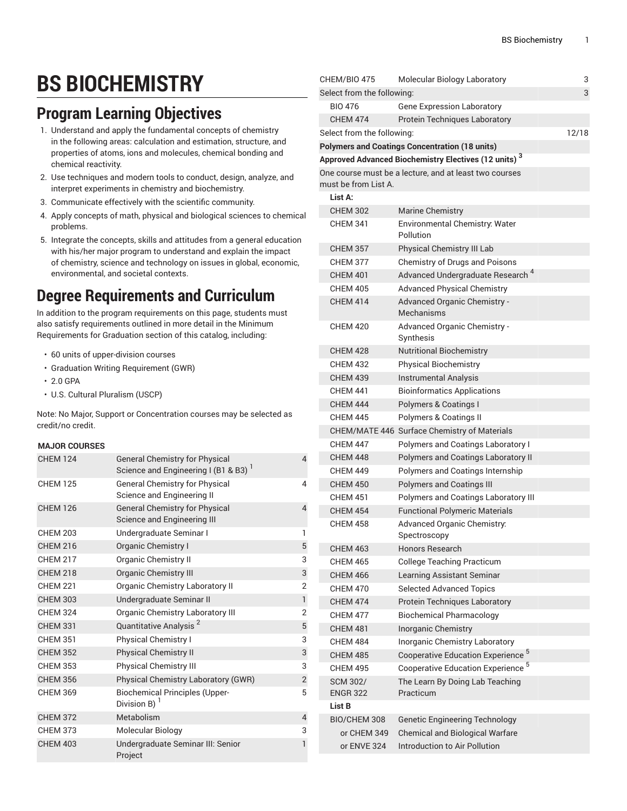# **BS BIOCHEMISTRY**

### **Program Learning Objectives**

- 1. Understand and apply the fundamental concepts of chemistry in the following areas: calculation and estimation, structure, and properties of atoms, ions and molecules, chemical bonding and chemical reactivity.
- 2. Use techniques and modern tools to conduct, design, analyze, and interpret experiments in chemistry and biochemistry.
- 3. Communicate effectively with the scientific community.
- 4. Apply concepts of math, physical and biological sciences to chemical problems.
- 5. Integrate the concepts, skills and attitudes from a general education with his/her major program to understand and explain the impact of chemistry, science and technology on issues in global, economic, environmental, and societal contexts.

## **Degree Requirements and Curriculum**

In addition to the program requirements on this page, students must also satisfy requirements outlined in more detail in the Minimum Requirements for Graduation section of this catalog, including:

- 60 units of upper-division courses
- Graduation Writing Requirement (GWR)
- 2.0 GPA
- U.S. Cultural Pluralism (USCP)

Note: No Major, Support or Concentration courses may be selected as credit/no credit.

#### **MAJOR COURSES**

| <b>CHEM 124</b> | <b>General Chemistry for Physical</b><br>Science and Engineering I (B1 & B3) $1$ | $\overline{4}$ |
|-----------------|----------------------------------------------------------------------------------|----------------|
| <b>CHEM 125</b> | <b>General Chemistry for Physical</b><br>Science and Engineering II              | 4              |
| <b>CHEM 126</b> | <b>General Chemistry for Physical</b><br>Science and Engineering III             | $\overline{4}$ |
| CHFM 203        | Undergraduate Seminar I                                                          | 1              |
| <b>CHEM 216</b> | <b>Organic Chemistry I</b>                                                       | 5              |
| <b>CHFM 217</b> | Organic Chemistry II                                                             | 3              |
| <b>CHEM 218</b> | <b>Organic Chemistry III</b>                                                     | 3              |
| <b>CHFM 221</b> | <b>Organic Chemistry Laboratory II</b>                                           | $\overline{2}$ |
| <b>CHEM 303</b> | Undergraduate Seminar II                                                         | $\mathbf{1}$   |
| <b>CHEM 324</b> | Organic Chemistry Laboratory III                                                 | $\overline{2}$ |
| <b>CHEM 331</b> | Quantitative Analysis <sup>2</sup>                                               | 5              |
| <b>CHEM 351</b> | <b>Physical Chemistry I</b>                                                      | 3              |
| <b>CHEM 352</b> | <b>Physical Chemistry II</b>                                                     | 3              |
| <b>CHEM 353</b> | <b>Physical Chemistry III</b>                                                    | 3              |
| <b>CHEM 356</b> | Physical Chemistry Laboratory (GWR)                                              | $\mathbf{2}$   |
| <b>CHEM 369</b> | <b>Biochemical Principles (Upper-</b><br>Division B) $1$                         | 5              |
| <b>CHEM 372</b> | Metabolism                                                                       | $\overline{4}$ |
| <b>CHEM 373</b> | Molecular Biology                                                                | 3              |
| <b>CHEM 403</b> | Undergraduate Seminar III: Senior<br>Project                                     | $\mathbf{1}$   |

| CHEM/BIO 475                       | Molecular Biology Laboratory                                                                   | 3     |
|------------------------------------|------------------------------------------------------------------------------------------------|-------|
| Select from the following:         | 3                                                                                              |       |
| <b>BIO 476</b>                     | <b>Gene Expression Laboratory</b>                                                              |       |
| <b>CHEM 474</b>                    | <b>Protein Techniques Laboratory</b>                                                           |       |
| Select from the following:         |                                                                                                | 12/18 |
|                                    | <b>Polymers and Coatings Concentration (18 units)</b>                                          |       |
|                                    | Approved Advanced Biochemistry Electives (12 units) $^{\mathbf{3}}$                            |       |
|                                    | One course must be a lecture, and at least two courses                                         |       |
| must be from List A.               |                                                                                                |       |
| List A:                            |                                                                                                |       |
| <b>CHEM 302</b>                    | <b>Marine Chemistry</b>                                                                        |       |
| <b>CHEM 341</b>                    | Environmental Chemistry: Water<br>Pollution                                                    |       |
| <b>CHEM 357</b>                    | Physical Chemistry III Lab                                                                     |       |
| <b>CHEM 377</b>                    | Chemistry of Drugs and Poisons                                                                 |       |
| <b>CHEM 401</b>                    | Advanced Undergraduate Research <sup>4</sup>                                                   |       |
| <b>CHEM 405</b>                    | <b>Advanced Physical Chemistry</b>                                                             |       |
| <b>CHEM 414</b>                    | Advanced Organic Chemistry -<br>Mechanisms                                                     |       |
| <b>CHEM 420</b>                    | Advanced Organic Chemistry -<br>Synthesis                                                      |       |
| <b>CHEM 428</b>                    | <b>Nutritional Biochemistry</b>                                                                |       |
| <b>CHEM 432</b>                    | <b>Physical Biochemistry</b>                                                                   |       |
| <b>CHEM 439</b>                    | Instrumental Analysis                                                                          |       |
| <b>CHEM 441</b>                    | <b>Bioinformatics Applications</b>                                                             |       |
| <b>CHEM 444</b>                    | Polymers & Coatings I                                                                          |       |
| <b>CHEM 445</b>                    | Polymers & Coatings II                                                                         |       |
|                                    | CHEM/MATE 446 Surface Chemistry of Materials                                                   |       |
| <b>CHEM 447</b>                    | Polymers and Coatings Laboratory I                                                             |       |
| <b>CHEM 448</b>                    | Polymers and Coatings Laboratory II                                                            |       |
| <b>CHEM 449</b>                    | Polymers and Coatings Internship                                                               |       |
| <b>CHEM 450</b>                    | <b>Polymers and Coatings III</b>                                                               |       |
| <b>CHEM 451</b>                    | Polymers and Coatings Laboratory III                                                           |       |
| <b>CHEM 454</b>                    | <b>Functional Polymeric Materials</b>                                                          |       |
| <b>CHEM 458</b>                    | Advanced Organic Chemistry:                                                                    |       |
|                                    | Spectroscopy                                                                                   |       |
| <b>CHEM 463</b>                    | Honors Research                                                                                |       |
| <b>CHEM 465</b>                    | <b>College Teaching Practicum</b>                                                              |       |
| <b>CHEM 466</b>                    | Learning Assistant Seminar                                                                     |       |
| <b>CHEM 470</b>                    | <b>Selected Advanced Topics</b>                                                                |       |
| <b>CHEM 474</b>                    | Protein Techniques Laboratory                                                                  |       |
| <b>CHEM 477</b>                    | <b>Biochemical Pharmacology</b>                                                                |       |
| <b>CHEM 481</b>                    | Inorganic Chemistry                                                                            |       |
| <b>CHEM 484</b>                    | Inorganic Chemistry Laboratory                                                                 |       |
| <b>CHEM 485</b>                    | Cooperative Education Experience <sup>5</sup><br>Cooperative Education Experience <sup>5</sup> |       |
| <b>CHEM 495</b>                    |                                                                                                |       |
| <b>SCM 302/</b><br><b>ENGR 322</b> | The Learn By Doing Lab Teaching<br>Practicum                                                   |       |
| List B                             |                                                                                                |       |
| BIO/CHEM 308                       | <b>Genetic Engineering Technology</b>                                                          |       |
| or CHEM 349                        | <b>Chemical and Biological Warfare</b>                                                         |       |
| or ENVE 324                        | Introduction to Air Pollution                                                                  |       |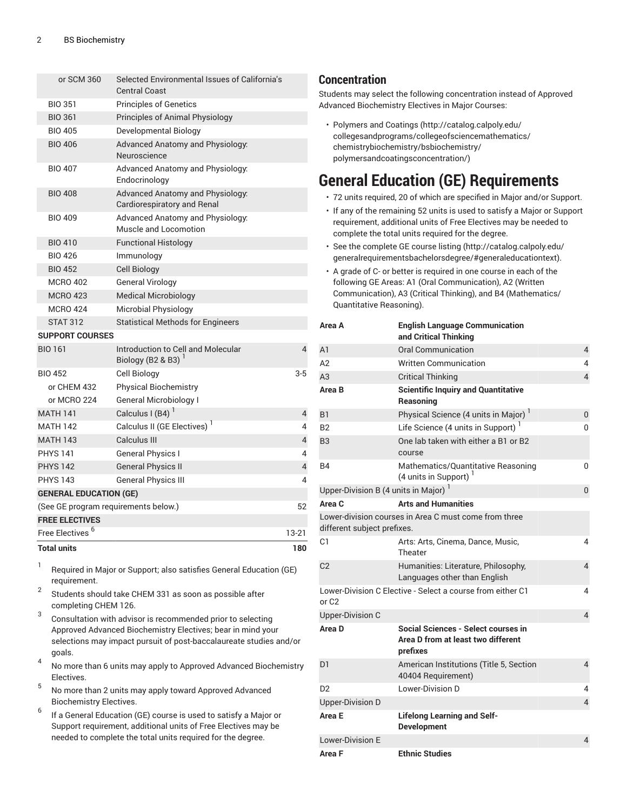| or SCM 360                           | Selected Environmental Issues of California's<br><b>Central Coast</b> |                |
|--------------------------------------|-----------------------------------------------------------------------|----------------|
| <b>BIO 351</b>                       | <b>Principles of Genetics</b>                                         |                |
| <b>BIO 361</b>                       | Principles of Animal Physiology                                       |                |
| <b>BIO 405</b>                       | Developmental Biology                                                 |                |
| <b>BIO 406</b>                       | Advanced Anatomy and Physiology:<br>Neuroscience                      |                |
| <b>BIO 407</b>                       | Advanced Anatomy and Physiology:<br>Endocrinology                     |                |
| <b>BIO 408</b>                       | Advanced Anatomy and Physiology:<br>Cardiorespiratory and Renal       |                |
| <b>BIO 409</b>                       | Advanced Anatomy and Physiology:<br>Muscle and Locomotion             |                |
| <b>BIO 410</b>                       | <b>Functional Histology</b>                                           |                |
| <b>BIO 426</b>                       | Immunology                                                            |                |
| <b>BIO 452</b>                       | <b>Cell Biology</b>                                                   |                |
| <b>MCRO 402</b>                      | <b>General Virology</b>                                               |                |
| <b>MCRO 423</b>                      | <b>Medical Microbiology</b>                                           |                |
| <b>MCRO 424</b>                      | Microbial Physiology                                                  |                |
| <b>STAT 312</b>                      | <b>Statistical Methods for Engineers</b>                              |                |
| <b>SUPPORT COURSES</b>               |                                                                       |                |
| <b>BIO 161</b>                       | Introduction to Cell and Molecular<br>Biology (B2 & B3) $1$           | 4              |
| <b>BIO 452</b>                       | Cell Biology                                                          | $3-5$          |
| or CHEM 432                          | <b>Physical Biochemistry</b>                                          |                |
| or MCRO 224                          | <b>General Microbiology I</b>                                         |                |
| <b>MATH 141</b>                      | Calculus I (B4) $^{-1}$                                               | $\overline{4}$ |
| <b>MATH 142</b>                      | Calculus II (GE Electives) <sup>1</sup>                               | 4              |
| <b>MATH 143</b>                      | Calculus III                                                          | $\overline{4}$ |
| <b>PHYS 141</b>                      | General Physics I                                                     | 4              |
| <b>PHYS 142</b>                      | <b>General Physics II</b>                                             | $\sqrt{4}$     |
| <b>PHYS 143</b>                      | <b>General Physics III</b>                                            | 4              |
| <b>GENERAL EDUCATION (GE)</b>        |                                                                       |                |
| (See GE program requirements below.) |                                                                       | 52             |
| <b>FREE ELECTIVES</b>                |                                                                       |                |
| Free Electives <sup>6</sup>          |                                                                       | $13 - 21$      |
| <b>Total units</b>                   |                                                                       | 180            |

1 Required in Major or Support; also satisfies General Education (GE) requirement.

2 Students should take CHEM 331 as soon as possible after completing CHEM 126.

- 3 Consultation with advisor is recommended prior to selecting Approved Advanced Biochemistry Electives; bear in mind your selections may impact pursuit of post-baccalaureate studies and/or goals.
- 4 No more than 6 units may apply to Approved Advanced Biochemistry Electives.
- 5 No more than 2 units may apply toward Approved Advanced Biochemistry Electives.
- 6 If a General Education (GE) course is used to satisfy a Major or Support requirement, additional units of Free Electives may be needed to complete the total units required for the degree.

### **Concentration**

Students may select the following concentration instead of Approved Advanced Biochemistry Electives in Major Courses:

• [Polymers](http://catalog.calpoly.edu/collegesandprograms/collegeofsciencemathematics/chemistrybiochemistry/bsbiochemistry/polymersandcoatingsconcentration/) and Coatings [\(http://catalog.calpoly.edu/](http://catalog.calpoly.edu/collegesandprograms/collegeofsciencemathematics/chemistrybiochemistry/bsbiochemistry/polymersandcoatingsconcentration/) [collegesandprograms/collegeofsciencemathematics/](http://catalog.calpoly.edu/collegesandprograms/collegeofsciencemathematics/chemistrybiochemistry/bsbiochemistry/polymersandcoatingsconcentration/) [chemistrybiochemistry/bsbiochemistry/](http://catalog.calpoly.edu/collegesandprograms/collegeofsciencemathematics/chemistrybiochemistry/bsbiochemistry/polymersandcoatingsconcentration/) [polymersandcoatingsconcentration/\)](http://catalog.calpoly.edu/collegesandprograms/collegeofsciencemathematics/chemistrybiochemistry/bsbiochemistry/polymersandcoatingsconcentration/)

### **General Education (GE) Requirements**

- 72 units required, 20 of which are specified in Major and/or Support.
- If any of the remaining 52 units is used to satisfy a Major or Support requirement, additional units of Free Electives may be needed to complete the total units required for the degree.
- See the [complete GE course listing](http://catalog.calpoly.edu/generalrequirementsbachelorsdegree/#generaleducationtext) [\(http://catalog.calpoly.edu/](http://catalog.calpoly.edu/generalrequirementsbachelorsdegree/#generaleducationtext) [generalrequirementsbachelorsdegree/#generaleducationtext](http://catalog.calpoly.edu/generalrequirementsbachelorsdegree/#generaleducationtext)).
- A grade of C- or better is required in one course in each of the following GE Areas: A1 (Oral Communication), A2 (Written Communication), A3 (Critical Thinking), and B4 (Mathematics/ Quantitative Reasoning).

| Area A                              | <b>English Language Communication</b><br>and Critical Thinking                        |                |
|-------------------------------------|---------------------------------------------------------------------------------------|----------------|
| A1                                  | <b>Oral Communication</b>                                                             | $\overline{4}$ |
| A2                                  | <b>Written Communication</b>                                                          | 4              |
| A3                                  | <b>Critical Thinking</b>                                                              | $\overline{4}$ |
| Area B                              | <b>Scientific Inquiry and Quantitative</b><br>Reasoning                               |                |
| B1                                  | Physical Science (4 units in Major) <sup>1</sup>                                      | 0              |
| B2                                  | Life Science (4 units in Support) $1$                                                 | 0              |
| B3                                  | One lab taken with either a B1 or B2<br>course                                        |                |
| B4                                  | Mathematics/Quantitative Reasoning<br>(4 units in Support) <sup>1</sup>               | 0              |
| Upper-Division B (4 units in Major) |                                                                                       | 0              |
| Area C                              | <b>Arts and Humanities</b>                                                            |                |
| different subject prefixes.         | Lower-division courses in Area C must come from three                                 |                |
| C1                                  | Arts: Arts, Cinema, Dance, Music,<br>Theater                                          | 4              |
| C <sub>2</sub>                      | Humanities: Literature, Philosophy,<br>Languages other than English                   | $\overline{4}$ |
| or C2                               | Lower-Division C Elective - Select a course from either C1                            | 4              |
| <b>Upper-Division C</b>             |                                                                                       | $\overline{4}$ |
| Area D                              | Social Sciences - Select courses in<br>Area D from at least two different<br>prefixes |                |
| D <sub>1</sub>                      | American Institutions (Title 5, Section<br>40404 Requirement)                         | 4              |
| D <sub>2</sub>                      | Lower-Division D                                                                      | 4              |
| <b>Upper-Division D</b>             |                                                                                       | $\overline{4}$ |
| Area E                              | <b>Lifelong Learning and Self-</b><br><b>Development</b>                              |                |
| <b>Lower-Division E</b>             |                                                                                       | $\overline{4}$ |
| Area F                              | <b>Ethnic Studies</b>                                                                 |                |